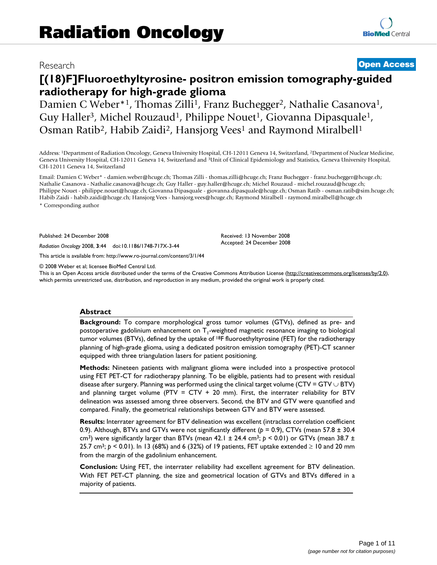# Research **[Open Access](http://www.biomedcentral.com/info/about/charter/)**

# **[(18)F]Fluoroethyltyrosine- positron emission tomography-guided radiotherapy for high-grade glioma**

Damien C Weber<sup>\*1</sup>, Thomas Zilli<sup>1</sup>, Franz Buchegger<sup>2</sup>, Nathalie Casanova<sup>1</sup>, Guy Haller<sup>3</sup>, Michel Rouzaud<sup>1</sup>, Philippe Nouet<sup>1</sup>, Giovanna Dipasquale<sup>1</sup>, Osman Ratib<sup>2</sup>, Habib Zaidi<sup>2</sup>, Hansjorg Vees<sup>1</sup> and Raymond Miralbell<sup>1</sup>

Address: 1Department of Radiation Oncology, Geneva University Hospital, CH-12011 Geneva 14, Switzerland, 2Department of Nuclear Medicine, Geneva University Hospital, CH-12011 Geneva 14, Switzerland and 3Unit of Clinical Epidemiology and Statistics, Geneva University Hospital, CH-12011 Geneva 14, Switzerland

Email: Damien C Weber\* - damien.weber@hcuge.ch; Thomas Zilli - thomas.zilli@hcuge.ch; Franz Buchegger - franz.buchegger@hcuge.ch; Nathalie Casanova - Nathalie.casanova@hcuge.ch; Guy Haller - guy.haller@hcuge.ch; Michel Rouzaud - michel.rouzaud@hcuge.ch; Philippe Nouet - philippe.nouet@hcuge.ch; Giovanna Dipasquale - giovanna.dipasquale@hcuge.ch; Osman Ratib - osman.ratib@sim.hcuge.ch; Habib Zaidi - habib.zaidi@hcuge.ch; Hansjorg Vees - hansjorg.vees@hcuge.ch; Raymond Miralbell - raymond.miralbell@hcuge.ch \* Corresponding author

> Received: 13 November 2008 Accepted: 24 December 2008

Published: 24 December 2008

*Radiation Oncology* 2008, **3**:44 doi:10.1186/1748-717X-3-44

[This article is available from: http://www.ro-journal.com/content/3/1/44](http://www.ro-journal.com/content/3/1/44)

© 2008 Weber et al; licensee BioMed Central Ltd.

This is an Open Access article distributed under the terms of the Creative Commons Attribution License [\(http://creativecommons.org/licenses/by/2.0\)](http://creativecommons.org/licenses/by/2.0), which permits unrestricted use, distribution, and reproduction in any medium, provided the original work is properly cited.

# **Abstract**

**Background:** To compare morphological gross tumor volumes (GTVs), defined as pre- and postoperative gadolinium enhancement on  $T_1$ -weighted magnetic resonance imaging to biological tumor volumes (BTVs), defined by the uptake of <sup>18</sup>F fluoroethyltyrosine (FET) for the radiotherapy planning of high-grade glioma, using a dedicated positron emission tomography (PET)-CT scanner equipped with three triangulation lasers for patient positioning.

**Methods:** Nineteen patients with malignant glioma were included into a prospective protocol using FET PET-CT for radiotherapy planning. To be eligible, patients had to present with residual disease after surgery. Planning was performed using the clinical target volume (CTV = GTV  $\cup$  BTV) and planning target volume (PTV =  $CTV + 20$  mm). First, the interrater reliability for BTV delineation was assessed among three observers. Second, the BTV and GTV were quantified and compared. Finally, the geometrical relationships between GTV and BTV were assessed.

**Results:** Interrater agreement for BTV delineation was excellent (intraclass correlation coefficient 0.9). Although, BTVs and GTVs were not significantly different (*p* = 0.9), CTVs (mean 57.8 ± 30.4 cm<sup>3</sup>) were significantly larger than BTVs (mean 42.1  $\pm$  24.4 cm<sup>3</sup>;  $p \le 0.01$ ) or GTVs (mean 38.7  $\pm$ 25.7 cm<sup>3</sup>;  $p < 0.01$ ). In 13 (68%) and 6 (32%) of 19 patients, FET uptake extended  $\geq 10$  and 20 mm from the margin of the gadolinium enhancement.

**Conclusion:** Using FET, the interrater reliability had excellent agreement for BTV delineation. With FET PET-CT planning, the size and geometrical location of GTVs and BTVs differed in a majority of patients.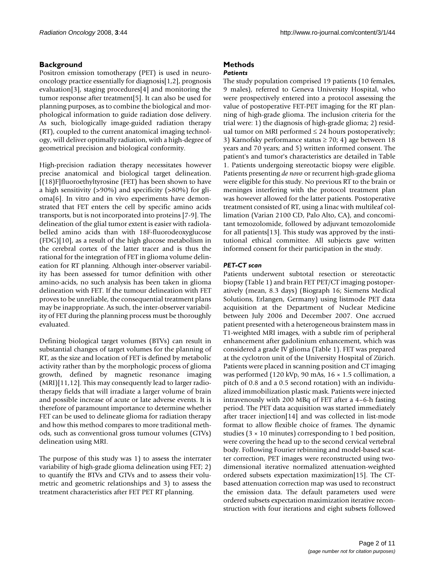# **Background**

Positron emission tomotherapy (PET) is used in neurooncology practice essentially for diagnosis[1,2], prognosis evaluation[3], staging procedures[4] and monitoring the tumor response after treatment[5]. It can also be used for planning purposes, as to combine the biological and morphological information to guide radiation dose delivery. As such, biologically image-guided radiation therapy (RT), coupled to the current anatomical imaging technology, will deliver optimally radiation, with a high-degree of geometrical precision and biological conformity.

High-precision radiation therapy necessitates however precise anatomical and biological target delineation. [(18)F]fluoroethyltyrosine (FET) has been shown to have a high sensitivity (>90%) and specificity (>80%) for glioma[6]. In vitro and in vivo experiments have demonstrated that FET enters the cell by specific amino acids transports, but is not incorporated into proteins [7-9]. The delineation of the glial tumor extent is easier with radiolabelled amino acids than with 18F-fluorodeoxyglucose (FDG)[10], as a result of the high glucose metabolism in the cerebral cortex of the latter tracer and is thus the rational for the integration of FET in glioma volume delineation for RT planning. Although inter-observer variability has been assessed for tumor definition with other amino-acids, no such analysis has been taken in glioma delineation with FET. If the tumour delineation with FET proves to be unreliable, the consequential treatment plans may be inappropriate. As such, the inter-observer variability of FET during the planning process must be thoroughly evaluated.

Defining biological target volumes (BTVs) can result in substantial changes of target volumes for the planning of RT, as the size and location of FET is defined by metabolic activity rather than by the morphologic process of glioma growth, defined by magnetic resonance imaging (MRI)[11,12]. This may consequently lead to larger radiotherapy fields that will irradiate a larger volume of brain and possible increase of acute or late adverse events. It is therefore of paramount importance to determine whether FET can be used to delineate glioma for radiation therapy and how this method compares to more traditional methods, such as conventional gross tumour volumes (GTVs) delineation using MRI.

The purpose of this study was 1) to assess the interrater variability of high-grade glioma delineation using FET; 2) to quantify the BTVs and GTVs and to assess their volumetric and geometric relationships and 3) to assess the treatment characteristics after FET PET RT planning.

# **Methods**

# *Patients*

The study population comprised 19 patients (10 females, 9 males), referred to Geneva University Hospital, who were prospectively entered into a protocol assessing the value of postoperative FET-PET imaging for the RT planning of high-grade glioma. The inclusion criteria for the trial were: 1) the diagnosis of high-grade glioma; 2) residual tumor on MRI performed  $\leq$  24 hours postoperatively; 3) Karnofsky performance status  $\geq$  70; 4) age between 18 years and 70 years; and 5) written informed consent. The patient's and tumor's characteristics are detailed in Table 1. Patients undergoing stereotactic biopsy were eligible. Patients presenting *de novo* or recurrent high-grade glioma were eligible for this study. No previous RT to the brain or meninges interfering with the protocol treatment plan was however allowed for the latter patients. Postoperative treatment consisted of RT, using a linac with multileaf collimation (Varian 2100 CD, Palo Alto, CA), and concomitant temozolomide, followed by adjuvant temozolomide for all patients[13]. This study was approved by the institutional ethical committee. All subjects gave written informed consent for their participation in the study.

# *PET-CT scan*

Patients underwent subtotal resection or stereotactic biopsy (Table 1) and brain FET PET/CT imaging postoperatively (mean, 8.3 days) (Biograph 16; Siemens Medical Solutions, Erlangen, Germany) using listmode PET data acquisition at the Department of Nuclear Medicine between July 2006 and December 2007. One accrued patient presented with a heterogeneous brainstem mass in T1-weighted MRI images, with a subtle rim of peripheral enhancement after gadolinium enhancement, which was considered a grade IV glioma (Table 1). FET was prepared at the cyclotron unit of the University Hospital of Zürich. Patients were placed in scanning position and CT imaging was performed (120 kVp, 90 mAs, 16 × 1.5 collimation, a pitch of 0.8 and a 0.5 second rotation) with an individualized immobilization plastic mask. Patients were injected intravenously with 200 MBq of FET after a 4–6-h fasting period. The PET data acquisition was started immediately after tracer injection[14] and was collected in list-mode format to allow flexible choice of frames. The dynamic studies (3 × 10 minutes) corresponding to 1 bed position, were covering the head up to the second cervical vertebral body. Following Fourier rebinning and model-based scatter correction, PET images were reconstructed using twodimensional iterative normalized attenuation-weighted ordered subsets expectation maximization[15]. The CTbased attenuation correction map was used to reconstruct the emission data. The default parameters used were ordered subsets expectation maximization iterative reconstruction with four iterations and eight subsets followed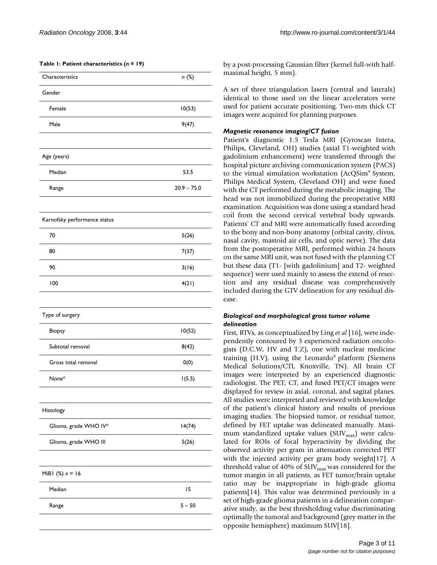| Characteristics              | n (%)         |
|------------------------------|---------------|
| Gender                       |               |
|                              |               |
| Female                       | 10(53)        |
| Male                         | 9(47)         |
| Age (years)                  |               |
| Median                       | 53.5          |
| Range                        | $20.9 - 75.0$ |
| Karnofsky performance status |               |
| 70                           | 5(26)         |
| 80                           | 7(37)         |
| 90                           | 3(16)         |
| 100                          | 4(21)         |
| Type of surgery              |               |
| Biopsy                       | 10(52)        |
| Subtotal removal             | 8(42)         |
| Gross total removal          | 0(0)          |
| None*                        | 1(5.5)        |
|                              |               |
| Histology                    |               |
| Glioma, grade WHO IV*        | 14(74)        |
| Glioma, grade WHO III        | 5(26)         |
| MiBI $(\%) n = 16$           |               |
| Median                       | 15            |
| Range                        | $5 - 50$      |
|                              |               |

by a post-processing Gaussian filter (kernel full-with halfmaximal height, 5 mm).

A set of three triangulation lasers (central and laterals) identical to those used on the linear accelerators were used for patient accurate positioning. Two-mm thick CT images were acquired for planning purposes.

### *Magnetic resonance imaging/CT fusion*

Patient's diagnostic 1.5 Tesla MRI (Gyroscan Intera, Philips, Cleveland, OH) studies (axial T1-weighted with gadolinium enhancement) were transferred through the hospital picture archiving communication system (PACS) to the virtual simulation workstation (AcQSim® System, Philips Medical System, Cleveland OH) and were fused with the CT performed during the metabolic imaging. The head was not immobilized during the preoperative MRI examination. Acquisition was done using a standard head coil from the second cervical vertebral body upwards. Patients' CT and MRI were automatically fused according to the bony and non-bony anatomy (orbital cavity, clivus, nasal cavity, mastoid air cells, and optic nerve). The data from the postoperative MRI, performed within 24 hours on the same MRI unit, was not fused with the planning CT but these data (T1- [with gadolinium] and T2- weighted sequence) were used mainly to assess the extend of resection and any residual disease was comprehensively included during the GTV delineation for any residual disease.

### *Biological and morphological gross tumor volume delineation*

First, BTVs, as conceptualized by Ling *et al* [16], were independently contoured by 3 experienced radiation oncologists (D.C.W, HV and T.Z), one with nuclear medicine training (H.V), using the Leonardo® platform (Siemens Medical Solutions/CTI, Knoxville, TN). All brain CT images were interpreted by an experienced diagnostic radiologist. The PET, CT, and fused PET/CT images were displayed for review in axial, coronal, and sagital planes. All studies were interpreted and reviewed with knowledge of the patient's clinical history and results of previous imaging studies. The biopsied tumor, or residual tumor, defined by FET uptake was delineated manually. Maximum standardized uptake values (SUV $_{\text{max}}$ ) were calculated for ROIs of focal hyperactivity by dividing the observed activity per gram in attenuation corrected PET with the injected activity per gram body weight[17]. A threshold value of 40% of  $\text{SUV}_{\text{max}}$  was considered for the tumor margin in all patients, as FET tumor/brain uptake ratio may be inappropriate in high-grade glioma patients[14]. This value was determined previously in a set of high-grade glioma patients in a delineation comparative study, as the best thresholding value discriminating optimally the tumoral and background (grey matter in the opposite hemisphere) maximum SUV[18].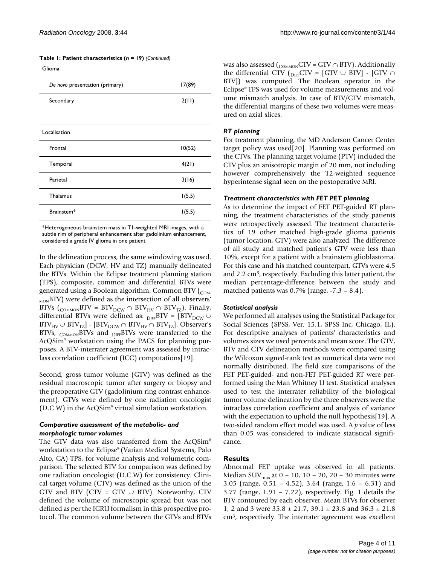**Table 1: Patient characteristics (***n* **= 19)** *(Continued)*

| Glioma                         |        |
|--------------------------------|--------|
| De novo presentation (primary) | 17(89) |
| Secondary                      | 2(11)  |
|                                |        |
| Localisation                   |        |
| Frontal                        | 10(52) |
| Temporal                       | 4(21)  |
| Parietal                       | 3(16)  |
| Thalamus                       | 1(5.5) |
| Brainstem*                     | 1(5.5) |

\*Heterogeneous brainstem mass in T1-weighted MRI images, with a subtle rim of peripheral enhancement after gadolinium enhancement, considered a grade IV glioma in one patient

In the delineation process, the same windowing was used. Each physician (DCW, HV and TZ) manually delineated the BTVs. Within the Eclipse treatment planning station (TPS), composite, common and differential BTVs were generated using a Boolean algorithm. Common BTV  $_{\text{COM}}$ <sub>MON</sub>BTV) were defined as the intersection of all observers' BTVs (<sub>COMMON</sub>BTV = BTV<sub>DCW</sub> ∩ BTV<sub>HV</sub> ∩ BTV<sub>TZ</sub>). Finally, differential BTVs were defined as:  $_{\text{DIFF}}$ BTV = [BTV<sub>DCW</sub>  $\cup$  $\text{BTV}_{\text{HV}} \cup \text{BTV}_{\text{TZ}}$  -  $\text{[BTV}_{\text{DCW}} \cap \text{BTV}_{\text{HV}} \cap \text{BTV}_{\text{TZ}}$ . Observer's BTVs,  $_{\text{COMMON}}$ BTVs and  $_{\text{DIFF}}$ BTVs were transferred to the AcQSim® workstation using the PACS for planning purposes. A BTV-interrater agreement was assessed by intraclass correlation coefficient (ICC) computations[19].

Second, gross tumor volume (GTV) was defined as the residual macroscopic tumor after surgery or biopsy and the preoperative GTV (gadolinium ring contrast enhancement). GTVs were defined by one radiation oncologist (D.C.W) in the AcQSim® virtual simulation workstation.

### *Comparative assessment of the metabolic- and morphologic tumor volumes*

The GTV data was also transferred from the AcQSim® workstation to the Eclipse® (Varian Medical Systems, Palo Alto, CA) TPS, for volume analysis and volumetric comparison. The selected BTV for comparison was defined by one radiation oncologist (D.C.W) for consistency. Clinical target volume (CTV) was defined as the union of the GTV and BTV (CTV = GTV  $\cup$  BTV). Noteworthy, CTV defined the volume of microscopic spread but was not defined as per the ICRU formalism in this prospective protocol. The common volume between the GTVs and BTVs was also assessed ( $_{\text{COMMON}}$ CTV = GTV  $\cap$  BTV). Additionally the differential CTV ( $_{\text{DIFF}}$ CTV = [GTV  $\cup$  BTV] - [GTV  $\cap$ BTV]) was computed. The Boolean operator in the Eclipse® TPS was used for volume measurements and volume mismatch analysis. In case of BTV/GTV mismatch, the differential margins of these two volumes were measured on axial slices.

#### *RT planning*

For treatment planning, the MD Anderson Cancer Center target policy was used[20]. Planning was performed on the CTVs. The planning target volume (PTV) included the CTV plus an anisotropic margin of 20 mm, not including however comprehensively the T2-weighted sequence hyperintense signal seen on the postoperative MRI.

#### *Treatment characteristics with FET PET planning*

As to determine the impact of FET PET-guided RT planning, the treatment characteristics of the study patients were retrospectively assessed. The treatment characteristics of 19 other matched high-grade glioma patients (tumor location, GTV) were also analyzed. The difference of all study and matched patient's GTV were less than 10%, except for a patient with a brainstem glioblastoma. For this case and his matched counterpart, GTVs were 4.5 and 2.2 cm<sup>3</sup>, respectively. Excluding this latter patient, the median percentage-difference between the study and matched patients was  $0.7\%$  (range,  $-7.3 - 8.4$ ).

#### *Statistical analysis*

We performed all analyses using the Statistical Package for Social Sciences (SPSS, Ver. 15.1, SPSS Inc, Chicago, IL). For descriptive analyses of patients' characteristics and volumes sizes we used percents and mean score. The GTV, BTV and CTV delineation methods were compared using the Wilcoxon signed-rank test as numerical data were not normally distributed. The field size comparisons of the FET PET-guided- and non-FET PET-guided RT were performed using the Man Whitney U test. Statistical analyses used to test the interrater reliability of the biological tumor volume delineation by the three observers were the intraclass correlation coefficient and analysis of variance with the expectation to uphold the null hypothesis[19]. A two-sided random effect model was used. A *p* value of less than 0.05 was considered to indicate statistical significance.

# **Results**

Abnormal FET uptake was observed in all patients. Median SUV $_{\text{max}}$  at 0 – 10, 10 – 20, 20 – 30 minutes were 3.05 (range, 0.51 – 4.52), 3.64 (range, 1.6 – 6.31) and 3.77 (range, 1.91 – 7.22), respectively. Fig. 1 details the BTV contoured by each observer. Mean BTVs for observer 1, 2 and 3 were 35.8 ± 21.7, 39.1 ± 23.6 and 36.3 ± 21.8 cm3, respectively. The interrater agreement was excellent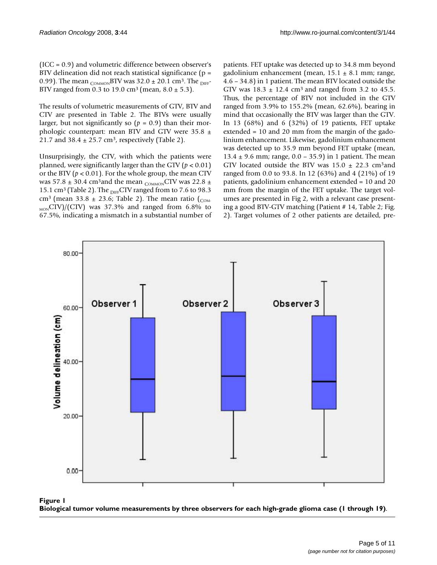(ICC = 0.9) and volumetric difference between observer's BTV delineation did not reach statistical significance (p = 0.99). The mean  $_{\text{COMMON}}$ BTV was 32.0  $\pm$  20.1 cm<sup>3</sup>. The <sub>DIFF</sub>-BTV ranged from 0.3 to 19.0 cm<sup>3</sup> (mean,  $8.0 \pm 5.3$ ).

The results of volumetric measurements of GTV, BTV and CTV are presented in Table 2. The BTVs were usually larger, but not significantly so  $(p = 0.9)$  than their morphologic counterpart: mean BTV and GTV were  $35.8 \pm$ 21.7 and  $38.4 \pm 25.7$  cm<sup>3</sup>, respectively (Table 2).

Unsurprisingly, the CTV, with which the patients were planned, were significantly larger than the GTV ( $p < 0.01$ ) or the BTV ( $p < 0.01$ ). For the whole group, the mean CTV was 57.8  $\pm$  30.4 cm<sup>3</sup> and the mean <sub>COMMON</sub>CTV was 22.8  $\pm$ 15.1 cm<sup>3</sup> (Table 2). The  $_{\text{DIFF}}$ CTV ranged from to 7.6 to 98.3 cm<sup>3</sup> (mean 33.8  $\pm$  23.6; Table 2). The mean ratio (<sub>COM-</sub>  $_{MON}$ CTV)/(CTV) was 37.3% and ranged from 6.8% to 67.5%, indicating a mismatch in a substantial number of patients. FET uptake was detected up to 34.8 mm beyond gadolinium enhancement (mean,  $15.1 \pm 8.1$  mm; range, 4.6 – 34.8) in 1 patient. The mean BTV located outside the GTV was  $18.3 \pm 12.4$  cm<sup>3</sup> and ranged from 3.2 to 45.5. Thus, the percentage of BTV not included in the GTV ranged from 3.9% to 155.2% (mean, 62.6%), bearing in mind that occasionally the BTV was larger than the GTV. In 13 (68%) and 6 (32%) of 19 patients, FET uptake extended = 10 and 20 mm from the margin of the gadolinium enhancement. Likewise, gadolinium enhancement was detected up to 35.9 mm beyond FET uptake (mean, 13.4  $\pm$  9.6 mm; range, 0.0 – 35.9) in 1 patient. The mean GTV located outside the BTV was  $15.0 \pm 22.3$  cm<sup>3</sup> and ranged from 0.0 to 93.8. In 12 (63%) and 4 (21%) of 19 patients, gadolinium enhancement extended = 10 and 20 mm from the margin of the FET uptake. The target volumes are presented in Fig 2, with a relevant case presenting a good BTV-GTV matching (Patient # 14, Table 2; Fig. 2). Target volumes of 2 other patients are detailed, pre-



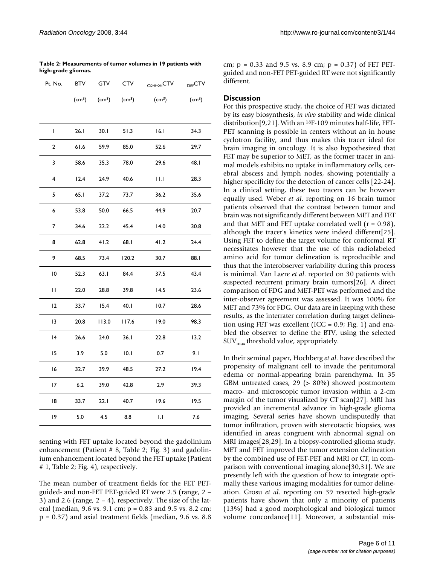**Table 2: Measurements of tumor volumes in 19 patients with high-grade gliomas.**

| Pt. No.                 | <b>BTV</b>         | GTV                | CTV                | COMMON <sup>CTV</sup> | DIFF <sup>CTV</sup> |
|-------------------------|--------------------|--------------------|--------------------|-----------------------|---------------------|
|                         | (cm <sup>3</sup> ) | (cm <sup>3</sup> ) | (cm <sup>3</sup> ) | (cm <sup>3</sup> )    | (cm <sup>3</sup> )  |
|                         |                    |                    |                    |                       |                     |
| L                       | 26.1               | 30.1               | 51.3               | 16.I                  | 34.3                |
| $\overline{\mathbf{c}}$ | 61.6               | 59.9               | 85.0               | 52.6                  | 29.7                |
| 3                       | 58.6               | 35.3               | 78.0               | 29.6                  | 48. I               |
| 4                       | 12.4               | 24.9               | 40.6               | Ш                     | 28.3                |
| 5                       | 65.1               | 37.2               | 73.7               | 36.2                  | 35.6                |
| 6                       | 53.8               | 50.0               | 66.5               | 44.9                  | 20.7                |
| 7                       | 34.6               | 22.2               | 45.4               | 14.0                  | 30.8                |
| 8                       | 62.8               | 41.2               | 68.I               | 41.2                  | 24.4                |
| 9                       | 68.5               | 73.4               | 120.2              | 30.7                  | 88. I               |
| 10                      | 52.3               | 63.1               | 84.4               | 37.5                  | 43.4                |
| П                       | 22.0               | 28.8               | 39.8               | 14.5                  | 23.6                |
| 2                       | 33.7               | 15.4               | 40.1               | 10.7                  | 28.6                |
| 13                      | 20.8               | 113.0              | I I 7.6            | 19.0                  | 98.3                |
| 4                       | 26.6               | 24.0               | 36.1               | 22.8                  | 13.2                |
| 15                      | 3.9                | 5.0                | 10.1               | 0.7                   | 9.1                 |
| 16                      | 32.7               | 39.9               | 48.5               | 27.2                  | 19.4                |
| 17                      | 6.2                | 39.0               | 42.8               | 2.9                   | 39.3                |
| 18                      | 33.7               | 22.1               | 40.7               | 19.6                  | 19.5                |
| 19                      | 5.0                | 4.5                | 8.8                | IJ                    | 7.6                 |

senting with FET uptake located beyond the gadolinium enhancement (Patient # 8, Table 2; Fig. 3) and gadolinium enhancement located beyond the FET uptake (Patient # 1, Table 2; Fig. 4), respectively.

The mean number of treatment fields for the FET PETguided- and non-FET PET-guided RT were 2.5 (range, 2 – 3) and 2.6 (range,  $2 - 4$ ), respectively. The size of the lateral (median, 9.6 vs. 9.1 cm; p = 0.83 and 9.5 vs. 8.2 cm;  $p = 0.37$ ) and axial treatment fields (median, 9.6 vs. 8.8)

cm;  $p = 0.33$  and 9.5 vs. 8.9 cm;  $p = 0.37$  of FET PETguided and non-FET PET-guided RT were not significantly different.

# **Discussion**

For this prospective study, the choice of FET was dictated by its easy biosynthesis, *in vivo* stability and wide clinical distribution[9,21]. With an 18F-109 minutes half-life, FET-PET scanning is possible in centers without an in house cyclotron facility, and thus makes this tracer ideal for brain imaging in oncology. It is also hypothesized that FET may be superior to MET, as the former tracer in animal models exhibits no uptake in inflammatory cells, cerebral abscess and lymph nodes, showing potentially a higher specificity for the detection of cancer cells [22-24]. In a clinical setting, these two tracers can be however equally used. Weber *et al*. reporting on 16 brain tumor patients observed that the contrast between tumor and brain was not significantly different between MET and FET and that MET and FET uptake correlated well  $(r = 0.98)$ , although the tracer's kinetics were indeed different[25]. Using FET to define the target volume for conformal RT necessitates however that the use of this radiolabeled amino acid for tumor delineation is reproducible and thus that the interobserver variability during this process is minimal. Van Laere *et al*. reported on 30 patients with suspected recurrent primary brain tumors[26]. A direct comparison of FDG and MET-PET was performed and the inter-observer agreement was assessed. It was 100% for MET and 73% for FDG. Our data are in keeping with these results, as the interrater correlation during target delineation using FET was excellent (ICC =  $0.9$ ; Fig. 1) and enabled the observer to define the BTV, using the selected  $\text{SUV}_{\text{max}}$  threshold value, appropriately.

In their seminal paper, Hochberg *et al*. have described the propensity of malignant cell to invade the peritumoral edema or normal-appearing brain parenchyma. In 35 GBM untreated cases, 29 (> 80%) showed postmortem macro- and microscopic tumor invasion within a 2-cm margin of the tumor visualized by CT scan[27]. MRI has provided an incremental advance in high-grade glioma imaging. Several series have shown undisputedly that tumor infiltration, proven with stereotactic biopsies, was identified in areas congruent with abnormal signal on MRI images[28,29]. In a biopsy-controlled glioma study, MET and FET improved the tumor extension delineation by the combined use of FET-PET and MRI or CT, in comparison with conventional imaging alone[30,31]. We are presently left with the question of how to integrate optimally these various imaging modalities for tumor delineation. Grosu *et al*. reporting on 39 resected high-grade patients have shown that only a minority of patients (13%) had a good morphological and biological tumor volume concordance[11]. Moreover, a substantial mis-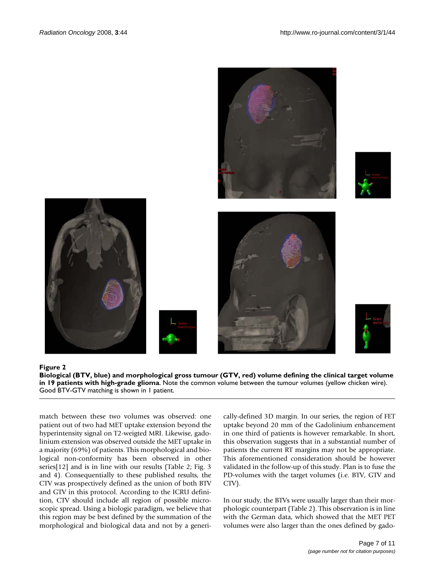











#### Biological (BTV, blue) and morphological gr with high-grade glioma **Figure 2** oss tumour (GTV, red) volume defining the clinical target volume in 19 patients

**Biological (BTV, blue) and morphological gross tumour (GTV, red) volume defining the clinical target volume in 19 patients with high-grade glioma**. Note the common volume between the tumour volumes (yellow chicken wire). Good BTV-GTV matching is shown in 1 patient.

match between these two volumes was observed: one patient out of two had MET uptake extension beyond the hyperintensity signal on T2-weigted MRI. Likewise, gadolinium extension was observed outside the MET uptake in a majority (69%) of patients. This morphological and biological non-conformity has been observed in other series[12] and is in line with our results (Table 2; Fig. 3 and 4). Consequentially to these published results, the CTV was prospectively defined as the union of both BTV and GTV in this protocol. According to the ICRU definition, CTV should include all region of possible microscopic spread. Using a biologic paradigm, we believe that this region may be best defined by the summation of the morphological and biological data and not by a generically-defined 3D margin. In our series, the region of FET uptake beyond 20 mm of the Gadolinium enhancement in one third of patients is however remarkable. In short, this observation suggests that in a substantial number of patients the current RT margins may not be appropriate. This aforementioned consideration should be however validated in the follow-up of this study. Plan is to fuse the PD-volumes with the target volumes (i.e. BTV, GTV and CTV).

In our study, the BTVs were usually larger than their morphologic counterpart (Table 2). This observation is in line with the German data, which showed that the MET PET volumes were also larger than the ones defined by gado-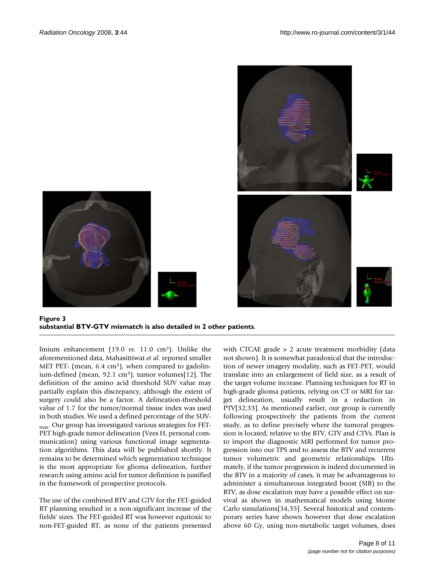



**Figure 3 substantial BTV-GTV mismatch is also detailed in 2 other patients**.

linium enhancement (19.0 *vs*. 11.0 cm3). Unlike the aforementioned data, Mahasittiwat *et al*. reported smaller MET PET- (mean,  $6.4 \text{ cm}^3$ ), when compared to gadolinium-defined (mean, 92.1 cm<sup>3</sup>), tumor volumes[12]. The definition of the amino acid threshold SUV value may partially explain this discrepancy, although the extent of surgery could also be a factor. A delineation-threshold value of 1.7 for the tumor/normal tissue index was used in both studies. We used a defined percentage of the SUVmax. Our group has investigated various strategies for FET-PET high-grade tumor delineation (Vees H, personal communication) using various functional image segmentation algorithms. This data will be published shortly. It remains to be determined which segmentation technique is the most appropriate for glioma delineation, further research using amino acid for tumor definition is justified in the framework of prospective protocols.

The use of the combined BTV and GTV for the FET-guided RT planning resulted in a non-significant increase of the fields' sizes. The FET-guided RT was however equitoxic to non-FET-guided RT, as none of the patients presented

with CTCAE grade > 2 acute treatment morbidity (data not shown). It is somewhat paradoxical that the introduction of newer imagery modality, such as FET-PET, would translate into an enlargement of field size, as a result of the target volume increase. Planning techniques for RT in high-grade glioma patients, relying on CT or MRI for target delineation, usually result in a reduction in PTV[32,33]. As mentioned earlier, our group is currently following prospectively the patients from the current study, as to define precisely where the tumoral progression is located, relative to the BTV, GTV and CTVs. Plan is to import the diagnostic MRI performed for tumor progression into our TPS and to assess the BTV and recurrent tumor volumetric and geometric relationships. Ultimately, if the tumor progression is indeed documented in the BTV in a majority of cases, it may be advantageous to administer a simultaneous integrated boost (SIB) to the BTV, as dose escalation may have a possible effect on survival as shown in mathematical models using Monte Carlo simulations[34,35]. Several historical and contemporary series have shown however that dose escalation above 60 Gy, using non-metabolic target volumes, does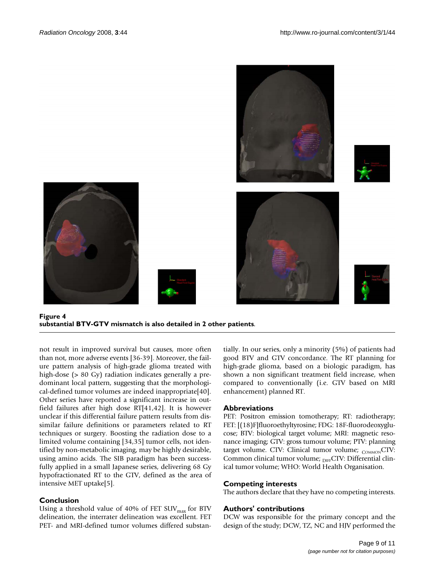

### **Figure 4 substantial BTV-GTV mismatch is also detailed in 2 other patients**.

not result in improved survival but causes, more often than not, more adverse events [36-39]. Moreover, the failure pattern analysis of high-grade glioma treated with high-dose (> 80 Gy) radiation indicates generally a predominant local pattern, suggesting that the morphological-defined tumor volumes are indeed inappropriate[40]. Other series have reported a significant increase in outfield failures after high dose RT[41,42]. It is however unclear if this differential failure pattern results from dissimilar failure definitions or parameters related to RT techniques or surgery. Boosting the radiation dose to a limited volume containing [34,35] tumor cells, not identified by non-metabolic imaging, may be highly desirable, using amino acids. The SIB paradigm has been successfully applied in a small Japanese series, delivering 68 Gy hypofractionated RT to the GTV, defined as the area of intensive MET uptake[5].

# **Conclusion**

Using a threshold value of 40% of FET  $\text{SUV}_{\text{max}}$  for BTV delineation, the interrater delineation was excellent. FET PET- and MRI-defined tumor volumes differed substantially. In our series, only a minority (5%) of patients had good BTV and GTV concordance. The RT planning for high-grade glioma, based on a biologic paradigm, has shown a non significant treatment field increase, when compared to conventionally (i.e. GTV based on MRI enhancement) planned RT.

# **Abbreviations**

PET: Positron emission tomotherapy; RT: radiotherapy; FET: [(18)F]fluoroethyltyrosine; FDG: 18F-fluorodeoxyglucose; BTV: biological target volume; MRI: magnetic resonance imaging; GTV: gross tumour volume; PTV: planning target volume. CTV: Clinical tumor volume;  $_{\text{COMMON}}$ CTV: Common clinical tumor volume; DIFFCTV: Differential clinical tumor volume; WHO: World Health Organisation.

# **Competing interests**

The authors declare that they have no competing interests.

# **Authors' contributions**

DCW was responsible for the primary concept and the design of the study; DCW, TZ, NC and HJV performed the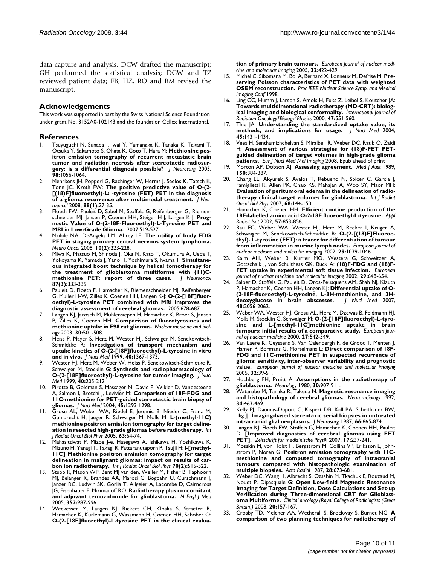data capture and analysis. DCW drafted the manuscript; GH performed the statistical analysis; DCW and TZ reviewed patient data; FB, HZ, RO and RM revised the manuscript.

#### **Acknowledgements**

This work was supported in part by the Swiss National Science Foundation under grant No. 3152A0-102143 and the foundation Cellex International.

#### **References**

- 1. Tsuyuguchi N, Sunada I, Iwai Y, Yamanaka K, Tanaka K, Takami T, Otsuka Y, Sakamoto S, Ohata K, Goto T, Hara M: **[Methionine pos](http://www.ncbi.nlm.nih.gov/entrez/query.fcgi?cmd=Retrieve&db=PubMed&dopt=Abstract&list_uids=12744366)[itron emission tomography of recurrent metastatic brain](http://www.ncbi.nlm.nih.gov/entrez/query.fcgi?cmd=Retrieve&db=PubMed&dopt=Abstract&list_uids=12744366) tumor and radiation necrosis after stereotactic radiosur[gery: is a differential diagnosis possible?](http://www.ncbi.nlm.nih.gov/entrez/query.fcgi?cmd=Retrieve&db=PubMed&dopt=Abstract&list_uids=12744366)** *J Neurosurg* 2003, **98:**1056-1064.
- 2. Mehrkens JH, Popperl G, Rachinger W, Herms J, Seelos K, Tatsch K, Tonn JC, Kreth FW: **[The positive predictive value of O-\(2-](http://www.ncbi.nlm.nih.gov/entrez/query.fcgi?cmd=Retrieve&db=PubMed&dopt=Abstract&list_uids=18217207) [\[\(18\)F\]fluoroethyl\)-L: -tyrosine \(FET\) PET in the diagnosis](http://www.ncbi.nlm.nih.gov/entrez/query.fcgi?cmd=Retrieve&db=PubMed&dopt=Abstract&list_uids=18217207) [of a glioma recurrence after multimodal treatment.](http://www.ncbi.nlm.nih.gov/entrez/query.fcgi?cmd=Retrieve&db=PubMed&dopt=Abstract&list_uids=18217207)** *J Neurooncol* 2008, **88(1):**27-35.
- 3. Floeth FW, Pauleit D, Sabel M, Stoffels G, Reifenberger G, Riemenschneider MJ, Jansen P, Coenen HH, Steiger H-J, Langen K-J: **[Prog](http://www.ncbi.nlm.nih.gov/entrez/query.fcgi?cmd=Retrieve&db=PubMed&dopt=Abstract&list_uids=17401087)[nostic Value of O-\(2-18F-Fluoroethyl\)-L-Tyrosine PET and](http://www.ncbi.nlm.nih.gov/entrez/query.fcgi?cmd=Retrieve&db=PubMed&dopt=Abstract&list_uids=17401087) [MRI in Low-Grade Glioma.](http://www.ncbi.nlm.nih.gov/entrez/query.fcgi?cmd=Retrieve&db=PubMed&dopt=Abstract&list_uids=17401087)** 2007:519-527.
- 4. Mohile NA, DeAngelis LM, Abrey LE: **[The utility of body FDG](http://www.ncbi.nlm.nih.gov/entrez/query.fcgi?cmd=Retrieve&db=PubMed&dopt=Abstract&list_uids=18287338) [PET in staging primary central nervous system lymphoma.](http://www.ncbi.nlm.nih.gov/entrez/query.fcgi?cmd=Retrieve&db=PubMed&dopt=Abstract&list_uids=18287338)** *Neuro Oncol* 2008, **10(2):**223-228.
- 5. Miwa K, Matsuo M, Shinoda J, Oka N, Kato T, Okumura A, Ueda T, Yokoyama K, Yamada J, Yano H, Yoshimura S, Iwama T: **[Simultane](http://www.ncbi.nlm.nih.gov/entrez/query.fcgi?cmd=Retrieve&db=PubMed&dopt=Abstract&list_uids=18217211)[ous integrated boost technique by helical tomotherapy for](http://www.ncbi.nlm.nih.gov/entrez/query.fcgi?cmd=Retrieve&db=PubMed&dopt=Abstract&list_uids=18217211)** the treatment of glioblastoma multiforme with (11)C-<br>methionine PET: report of three cases. | Neurooncol methionine **PET**: report of three cases. **87(3):**333-339.
- 6. Pauleit D, Floeth F, Hamacher K, Riemenschneider MJ, Reifenberger G, Muller H-W, Zilles K, Coenen HH, Langen K-J: **[O-\(2-\[18F\]fluor](http://www.ncbi.nlm.nih.gov/entrez/query.fcgi?cmd=Retrieve&db=PubMed&dopt=Abstract&list_uids=15689365)[oethyl\)-L-tyrosine PET combined with MRI improves the](http://www.ncbi.nlm.nih.gov/entrez/query.fcgi?cmd=Retrieve&db=PubMed&dopt=Abstract&list_uids=15689365) [diagnostic assessment of cerebral gliomas.](http://www.ncbi.nlm.nih.gov/entrez/query.fcgi?cmd=Retrieve&db=PubMed&dopt=Abstract&list_uids=15689365)** 2005:678-687.
- 7. Langen KJ, Jarosch M, Muhlensiepen H, Hamacher K, Broer S, Jansen P, Zilles K, Coenen HH: **Comparison of fluorotyrosines and methionine uptake in F98 rat gliomas.** *Nuclear medicine and biology* 2003, **30:**501-508.
- 8. Heiss P, Mayer S, Herz M, Wester HJ, Schwaiger M, Senekowitsch-Schmidtke R: **[Investigation of transport mechanism and](http://www.ncbi.nlm.nih.gov/entrez/query.fcgi?cmd=Retrieve&db=PubMed&dopt=Abstract&list_uids=10450690) [uptake kinetics of O-\(2-\[18F\]fluoroethyl\)-L-tyrosine in vitro](http://www.ncbi.nlm.nih.gov/entrez/query.fcgi?cmd=Retrieve&db=PubMed&dopt=Abstract&list_uids=10450690) [and in vivo.](http://www.ncbi.nlm.nih.gov/entrez/query.fcgi?cmd=Retrieve&db=PubMed&dopt=Abstract&list_uids=10450690)** *J Nucl Med* 1999, **40:**1367-1373.
- 9. Wester HJ, Herz M, Weber W, Heiss P, Senekowitsch-Schmidtke R, Schwaiger M, Stocklin G: **[Synthesis and radiopharmacology of](http://www.ncbi.nlm.nih.gov/entrez/query.fcgi?cmd=Retrieve&db=PubMed&dopt=Abstract&list_uids=9935078) [O-\(2-\[18F\]fluoroethyl\)-L-tyrosine for tumor imaging.](http://www.ncbi.nlm.nih.gov/entrez/query.fcgi?cmd=Retrieve&db=PubMed&dopt=Abstract&list_uids=9935078)** *J Nucl Med* 1999, **40:**205-212.
- 10. Pirotte B, Goldman S, Massager N, David P, Wikler D, Vandesteene A, Salmon I, Brotchi J, Levivier M: **[Comparison of 18F-FDG and](http://www.ncbi.nlm.nih.gov/entrez/query.fcgi?cmd=Retrieve&db=PubMed&dopt=Abstract&list_uids=15299051) [11C-methionine for PET-guided stereotactic brain biopsy of](http://www.ncbi.nlm.nih.gov/entrez/query.fcgi?cmd=Retrieve&db=PubMed&dopt=Abstract&list_uids=15299051) [gliomas.](http://www.ncbi.nlm.nih.gov/entrez/query.fcgi?cmd=Retrieve&db=PubMed&dopt=Abstract&list_uids=15299051)** *J Nucl Med* 2004, **45:**1293-1298.
- Grosu AL, Weber WA, Riedel E, Jeremic B, Nieder C, Franz M, Gumprecht H, Jaeger R, Schwaiger M, Molls M: **[L-\(methyl-11C\)](http://www.ncbi.nlm.nih.gov/entrez/query.fcgi?cmd=Retrieve&db=PubMed&dopt=Abstract&list_uids=16111573) [methionine positron emission tomography for target deline](http://www.ncbi.nlm.nih.gov/entrez/query.fcgi?cmd=Retrieve&db=PubMed&dopt=Abstract&list_uids=16111573)[ation in resected high-grade gliomas before radiotherapy.](http://www.ncbi.nlm.nih.gov/entrez/query.fcgi?cmd=Retrieve&db=PubMed&dopt=Abstract&list_uids=16111573)** *Int J Radiat Oncol Biol Phys* 2005, **63:**64-74.
- 12. Mahasittiwat P, Mizoe J-e, Hasegawa A, Ishikawa H, Yoshikawa K, Mizuno H, Yanagi T, Takagi R, Pattaranutaporn P, Tsujii H: **[l-\[methyl-](http://www.ncbi.nlm.nih.gov/entrez/query.fcgi?cmd=Retrieve&db=PubMed&dopt=Abstract&list_uids=17900820)[11C\] Methionine positron emission tomography for target](http://www.ncbi.nlm.nih.gov/entrez/query.fcgi?cmd=Retrieve&db=PubMed&dopt=Abstract&list_uids=17900820) delineation in malignant gliomas: impact on results of car[bon ion radiotherapy.](http://www.ncbi.nlm.nih.gov/entrez/query.fcgi?cmd=Retrieve&db=PubMed&dopt=Abstract&list_uids=17900820)** *Int J Radiat Oncol Biol Phys* **70(2):**515-522.
- Stupp R, Mason WP, Bent MJ van den, Weller M, Fisher B, Taphoorn MJ, Belanger K, Brandes AA, Marosi C, Bogdahn U, Curschmann J, Janzer RC, Ludwin SK, Gorlia T, Allgeier A, Lacombe D, Cairncross JG, Eisenhauer E, Mirimanoff RO: **[Radiotherapy plus concomitant](http://www.ncbi.nlm.nih.gov/entrez/query.fcgi?cmd=Retrieve&db=PubMed&dopt=Abstract&list_uids=15758009) [and adjuvant temozolomide for glioblastoma.](http://www.ncbi.nlm.nih.gov/entrez/query.fcgi?cmd=Retrieve&db=PubMed&dopt=Abstract&list_uids=15758009)** *N Engl J Med* 2005, **352:**987-996.
- 14. Weckesser M, Langen KJ, Rickert CH, Kloska S, Straeter R, Hamacher K, Kurlemann G, Wassmann H, Coenen HH, Schober O: **O-(2-[18F]fluorethyl)-L-tyrosine PET in the clinical evalua-**

**tion of primary brain tumours.** *European journal of nuclear medicine and molecular imaging* 2005, **32:**422-429.

- 15. Michel C, Sibomana M, Boi A, Bernard X, Lonneux M, Defrise M: **Preserving Poisson characteristics of PET data with weighted OSEM reconstruction.** *Proc IEEE Nuclear Science Symp. and Medical Imaging Conf* 1998.
- Ling CC, Humm J, Larson S, Amols H, Fuks Z, Leibel S, Koutcher JA: **Towards multidimensional radiotherapy (MD-CRT): biological imaging and biological conformality.** *International Journal of Radiation Oncology\*Biology\*Physics* 2000, **47:**551-560.
- 17. Thie JA: **[Understanding the standardized uptake value, its](http://www.ncbi.nlm.nih.gov/entrez/query.fcgi?cmd=Retrieve&db=PubMed&dopt=Abstract&list_uids=15347707) [methods, and implications for usage.](http://www.ncbi.nlm.nih.gov/entrez/query.fcgi?cmd=Retrieve&db=PubMed&dopt=Abstract&list_uids=15347707)** *J Nucl Med* 2004, **45:**1431-1434.
- 18. Vees H, Senthamizhchelvan S, Miralbell R, Weber DC, Ratib O, Zaidi H: **[Assessment of various strategies for \(18\)F-FET PET](http://www.ncbi.nlm.nih.gov/entrez/query.fcgi?cmd=Retrieve&db=PubMed&dopt=Abstract&list_uids=18818918)[guided delineation of target volumes in high-grade glioma](http://www.ncbi.nlm.nih.gov/entrez/query.fcgi?cmd=Retrieve&db=PubMed&dopt=Abstract&list_uids=18818918) [patients.](http://www.ncbi.nlm.nih.gov/entrez/query.fcgi?cmd=Retrieve&db=PubMed&dopt=Abstract&list_uids=18818918)** *Eur J Nucl Med Mol Imaging* 2008. Epub ahead of print
- 19. Morton AP, Dobson AJ: **[Assessing agreement.](http://www.ncbi.nlm.nih.gov/entrez/query.fcgi?cmd=Retrieve&db=PubMed&dopt=Abstract&list_uids=2716662)** *Med J Aust* 1989, **150:**384-387.
- 20. Chang EL, Akyurek S, Avalos T, Rebueno N, Spicer C, Garcia J, Famiglietti R, Allen PK, Chao KS, Mahajan A, Woo SY, Maor MH: **[Evaluation of peritumoral edema in the delineation of radio](http://www.ncbi.nlm.nih.gov/entrez/query.fcgi?cmd=Retrieve&db=PubMed&dopt=Abstract&list_uids=17306935)[therapy clinical target volumes for glioblastoma.](http://www.ncbi.nlm.nih.gov/entrez/query.fcgi?cmd=Retrieve&db=PubMed&dopt=Abstract&list_uids=17306935)** *Int J Radiat Oncol Biol Phys* 2007, **68:**144-150.
- 21. Hamacher K, Coenen HH: **[Efficient routine production of the](http://www.ncbi.nlm.nih.gov/entrez/query.fcgi?cmd=Retrieve&db=PubMed&dopt=Abstract&list_uids=12406628) [18F-labelled amino acid O-2-18F fluoroethyl-L-tyrosine.](http://www.ncbi.nlm.nih.gov/entrez/query.fcgi?cmd=Retrieve&db=PubMed&dopt=Abstract&list_uids=12406628)** *Appl Radiat Isot* 2002, **57:**853-856.
- 22. Rau FC, Weber WA, Wester HJ, Herz M, Becker I, Kruger A, Schwaiger M, Senekowitsch-Schmidtke R: **O-(2-[(18)F]Fluoroethyl)- L-tyrosine (FET): a tracer for differentiation of tumour from inflammation in murine lymph nodes.** *European journal of nuclear medicine and molecular imaging* 2002, **29:**1039-1046.
- 23. Kaim AH, Weber B, Kurrer MO, Westera G, Schweitzer A, Gottschalk J, von Schulthess GK, Buck A: **(18)F-FDG and (18)F-FET uptake in experimental soft tissue infection.** *European journal of nuclear medicine and molecular imaging* 2002, **29:**648-654.
- 24. Salber D, Stoffels G, Pauleit D, Oros-Peusquens AM, Shah NJ, Klauth P, Hamacher K, Coenen HH, Langen KJ: **[Differential uptake of O-](http://www.ncbi.nlm.nih.gov/entrez/query.fcgi?cmd=Retrieve&db=PubMed&dopt=Abstract&list_uids=18006612) [\(2-18F-fluoroethyl\)-L-tyrosine, L-3H-methionine, and 3H](http://www.ncbi.nlm.nih.gov/entrez/query.fcgi?cmd=Retrieve&db=PubMed&dopt=Abstract&list_uids=18006612)**[deoxyglucose in brain abscesses.](http://www.ncbi.nlm.nih.gov/entrez/query.fcgi?cmd=Retrieve&db=PubMed&dopt=Abstract&list_uids=18006612) **48:**2056-2062.
- 25. Weber WA, Wester HJ, Grosu AL, Herz M, Dzewas B, Feldmann HJ, Molls M, Stocklin G, Schwaiger M: **[O-\(2-\[18F\]fluoroethyl\)-L-tyro](http://www.ncbi.nlm.nih.gov/entrez/query.fcgi?cmd=Retrieve&db=PubMed&dopt=Abstract&list_uids=10853810)[sine and L-\[methyl-11C\]methionine uptake in brain](http://www.ncbi.nlm.nih.gov/entrez/query.fcgi?cmd=Retrieve&db=PubMed&dopt=Abstract&list_uids=10853810) [tumours: initial results of a comparative study.](http://www.ncbi.nlm.nih.gov/entrez/query.fcgi?cmd=Retrieve&db=PubMed&dopt=Abstract&list_uids=10853810)** *European journal of nuclear medicine* 2000, **27:**542-549.
- 26. Van Laere K, Ceyssens S, Van Calenbergh F, de Groot T, Menten J, Flamen P, Bormans G, Mortelmans L: **Direct comparison of 18F-FDG and 11C-methionine PET in suspected recurrence of glioma: sensitivity, inter-observer variability and prognostic value.** *European journal of nuclear medicine and molecular imaging* 2005, **32:**39-51.
- 27. Hochberg FH, Pruitt A: **[Assumptions in the radiotherapy of](http://www.ncbi.nlm.nih.gov/entrez/query.fcgi?cmd=Retrieve&db=PubMed&dopt=Abstract&list_uids=6252514) [glioblastoma.](http://www.ncbi.nlm.nih.gov/entrez/query.fcgi?cmd=Retrieve&db=PubMed&dopt=Abstract&list_uids=6252514)** *Neurology* 1980, **30:**907-911.
- 28. Watanabe M, Tanaka R, Takeda N: **[Magnetic resonance imaging](http://www.ncbi.nlm.nih.gov/entrez/query.fcgi?cmd=Retrieve&db=PubMed&dopt=Abstract&list_uids=1436452) [and histopathology of cerebral gliomas.](http://www.ncbi.nlm.nih.gov/entrez/query.fcgi?cmd=Retrieve&db=PubMed&dopt=Abstract&list_uids=1436452)** *Neuroradiology* 1992, **34:**463-469.
- Kelly PJ, Daumas-Duport C, Kispert DB, Kall BA, Scheithauer BW, Illig JJ: **[Imaging-based stereotaxic serial biopsies in untreated](http://www.ncbi.nlm.nih.gov/entrez/query.fcgi?cmd=Retrieve&db=PubMed&dopt=Abstract&list_uids=3033172) [intracranial glial neoplasms.](http://www.ncbi.nlm.nih.gov/entrez/query.fcgi?cmd=Retrieve&db=PubMed&dopt=Abstract&list_uids=3033172)** *J Neurosurg* 1987, **66:**865-874.
- 30. Langen KJ, Floeth FW, Stoffels G, Hamacher K, Coenen HH, Pauleit D: **[\[Improved diagnostics of cerebral gliomas using FET](http://www.ncbi.nlm.nih.gov/entrez/query.fcgi?cmd=Retrieve&db=PubMed&dopt=Abstract&list_uids=18254545) [PET\].](http://www.ncbi.nlm.nih.gov/entrez/query.fcgi?cmd=Retrieve&db=PubMed&dopt=Abstract&list_uids=18254545)** *Zeitschrift fur medizinische Physik* 2007, **17:**237-241.
- 31. Mosskin M, von Holst H, Bergstrom M, Collins VP, Eriksson L, Johnstrom P, Noren G: **[Positron emission tomography with 11C](http://www.ncbi.nlm.nih.gov/entrez/query.fcgi?cmd=Retrieve&db=PubMed&dopt=Abstract&list_uids=2962599)[methionine and computed tomography of intracranial](http://www.ncbi.nlm.nih.gov/entrez/query.fcgi?cmd=Retrieve&db=PubMed&dopt=Abstract&list_uids=2962599) tumours compared with histopathologic examination of [multiple biopsies.](http://www.ncbi.nlm.nih.gov/entrez/query.fcgi?cmd=Retrieve&db=PubMed&dopt=Abstract&list_uids=2962599)** *Acta Radiol* 1987, **28:**673-681.
- 32. Weber DC, Wang H, Albrecht S, Ozsahin M, Tkachuk E, Rouzaud M, Nouet P, Dipasquale G: **[Open Low-field Magnetic Resonance](http://www.ncbi.nlm.nih.gov/entrez/query.fcgi?cmd=Retrieve&db=PubMed&dopt=Abstract&list_uids=17936601) [Imaging for Target Definition, Dose Calculations and Set-up](http://www.ncbi.nlm.nih.gov/entrez/query.fcgi?cmd=Retrieve&db=PubMed&dopt=Abstract&list_uids=17936601) Verification during Three-dimensional CRT for Glioblast[oma Multiforme.](http://www.ncbi.nlm.nih.gov/entrez/query.fcgi?cmd=Retrieve&db=PubMed&dopt=Abstract&list_uids=17936601)** *Clinical oncology (Royal College of Radiologists (Great Britain))* 2008, **20:**157-167.
- 33. Crosby TD, Melcher AA, Wetherall S, Brockway S, Burnet NG: **[A](http://www.ncbi.nlm.nih.gov/entrez/query.fcgi?cmd=Retrieve&db=PubMed&dopt=Abstract&list_uids=9890542) [comparison of two planning techniques for radiotherapy of](http://www.ncbi.nlm.nih.gov/entrez/query.fcgi?cmd=Retrieve&db=PubMed&dopt=Abstract&list_uids=9890542)**